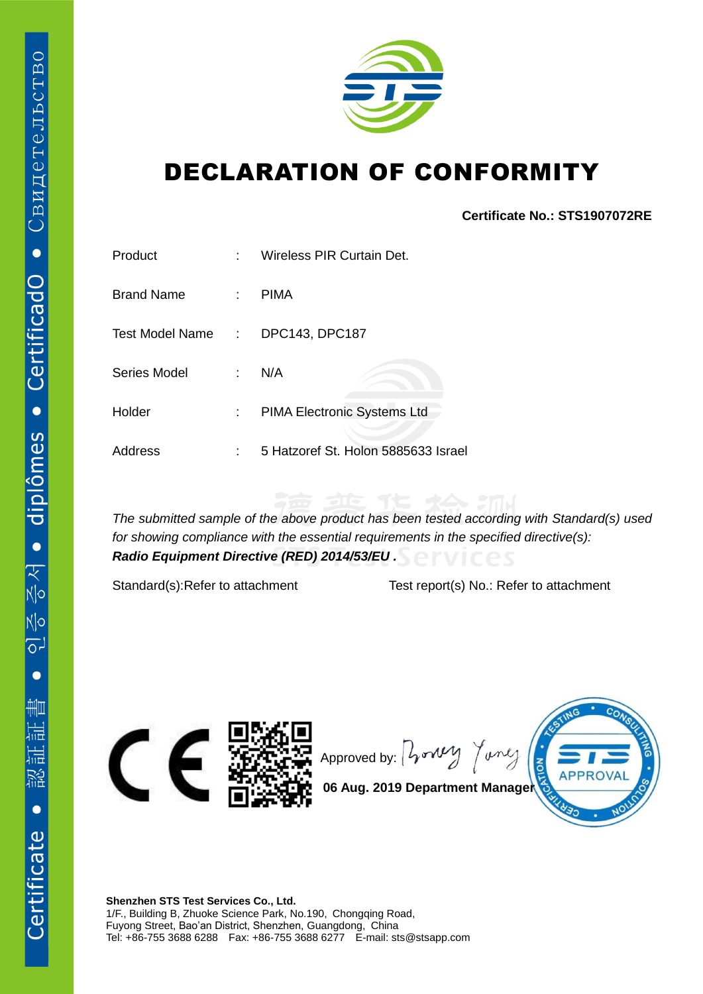

## DECLARATION OF CONFORMITY

**Certificate No.: STS1907072RE**

| Product           | ۰  | Wireless PIR Curtain Det.           |
|-------------------|----|-------------------------------------|
| <b>Brand Name</b> | t. | <b>PIMA</b>                         |
| Test Model Name:  |    | DPC143, DPC187                      |
| Series Model      | ÷. | N/A                                 |
| Holder            | t. | PIMA Electronic Systems Ltd         |
| Address           |    | 5 Hatzoref St. Holon 5885633 Israel |

*The submitted sample of the above product has been tested according with Standard(s) used for showing compliance with the essential requirements in the specified directive(s): Radio Equipment Directive (RED) 2014/53/EU .*

Standard(s):Refer to attachment Test report(s) No.: Refer to attachment



Approved by:  $\int \sqrt{v^2 + v^2}$ Tonle



**06 Aug. 2019 Department Manager**

**Shenzhen STS Test Services Co., Ltd.** 1/F., Building B, Zhuoke Science Park, No.190, Chongqing Road, Fuyong Street, Bao'an District, Shenzhen, Guangdong, China Tel: +86-755 3688 6288 Fax: +86-755 3688 6277 E-mail: sts@stsapp.com